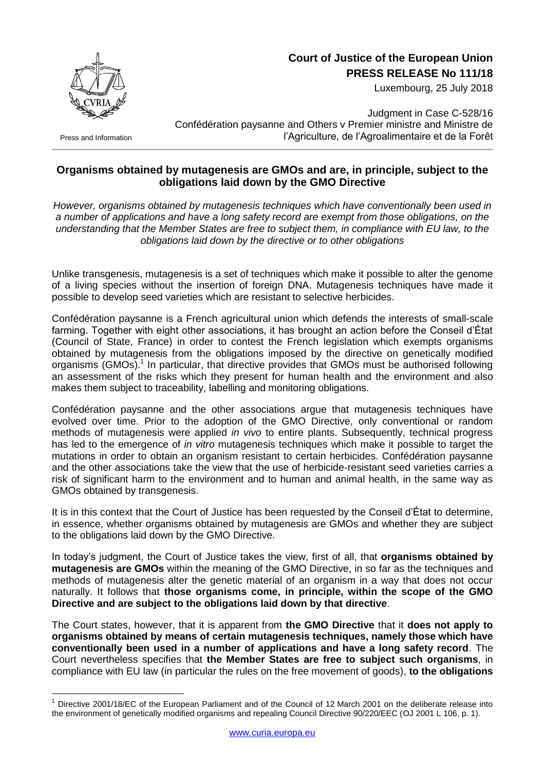

## **Court of Justice of the European Union PRESS RELEASE No 111/18**

Luxembourg, 25 July 2018

Press and Information

<u>.</u>

Judgment in Case C-528/16 Confédération paysanne and Others v Premier ministre and Ministre de l'Agriculture, de l'Agroalimentaire et de la Forêt

## **Organisms obtained by mutagenesis are GMOs and are, in principle, subject to the obligations laid down by the GMO Directive**

*However, organisms obtained by mutagenesis techniques which have conventionally been used in a number of applications and have a long safety record are exempt from those obligations, on the understanding that the Member States are free to subject them, in compliance with EU law, to the obligations laid down by the directive or to other obligations*

Unlike transgenesis, mutagenesis is a set of techniques which make it possible to alter the genome of a living species without the insertion of foreign DNA. Mutagenesis techniques have made it possible to develop seed varieties which are resistant to selective herbicides.

Confédération paysanne is a French agricultural union which defends the interests of small-scale farming. Together with eight other associations, it has brought an action before the Conseil d'État (Council of State, France) in order to contest the French legislation which exempts organisms obtained by mutagenesis from the obligations imposed by the directive on genetically modified organisms (GMOs).<sup>1</sup> In particular, that directive provides that GMOs must be authorised following an assessment of the risks which they present for human health and the environment and also makes them subject to traceability, labelling and monitoring obligations.

Confédération paysanne and the other associations argue that mutagenesis techniques have evolved over time. Prior to the adoption of the GMO Directive, only conventional or random methods of mutagenesis were applied *in vivo* to entire plants. Subsequently, technical progress has led to the emergence of *in vitro* mutagenesis techniques which make it possible to target the mutations in order to obtain an organism resistant to certain herbicides. Confédération paysanne and the other associations take the view that the use of herbicide-resistant seed varieties carries a risk of significant harm to the environment and to human and animal health, in the same way as GMOs obtained by transgenesis.

It is in this context that the Court of Justice has been requested by the Conseil d'État to determine, in essence, whether organisms obtained by mutagenesis are GMOs and whether they are subject to the obligations laid down by the GMO Directive.

In today's judgment, the Court of Justice takes the view, first of all, that **organisms obtained by mutagenesis are GMOs** within the meaning of the GMO Directive, in so far as the techniques and methods of mutagenesis alter the genetic material of an organism in a way that does not occur naturally. It follows that **those organisms come, in principle, within the scope of the GMO Directive and are subject to the obligations laid down by that directive**.

The Court states, however, that it is apparent from **the GMO Directive** that it **does not apply to organisms obtained by means of certain mutagenesis techniques, namely those which have conventionally been used in a number of applications and have a long safety record**. The Court nevertheless specifies that **the Member States are free to subject such organisms**, in compliance with EU law (in particular the rules on the free movement of goods), **to the obligations** 

Directive 2001/18/EC of the European Parliament and of the Council of 12 March 2001 on the deliberate release into the environment of genetically modified organisms and repealing Council Directive 90/220/EEC (OJ 2001 L 106, p. 1).